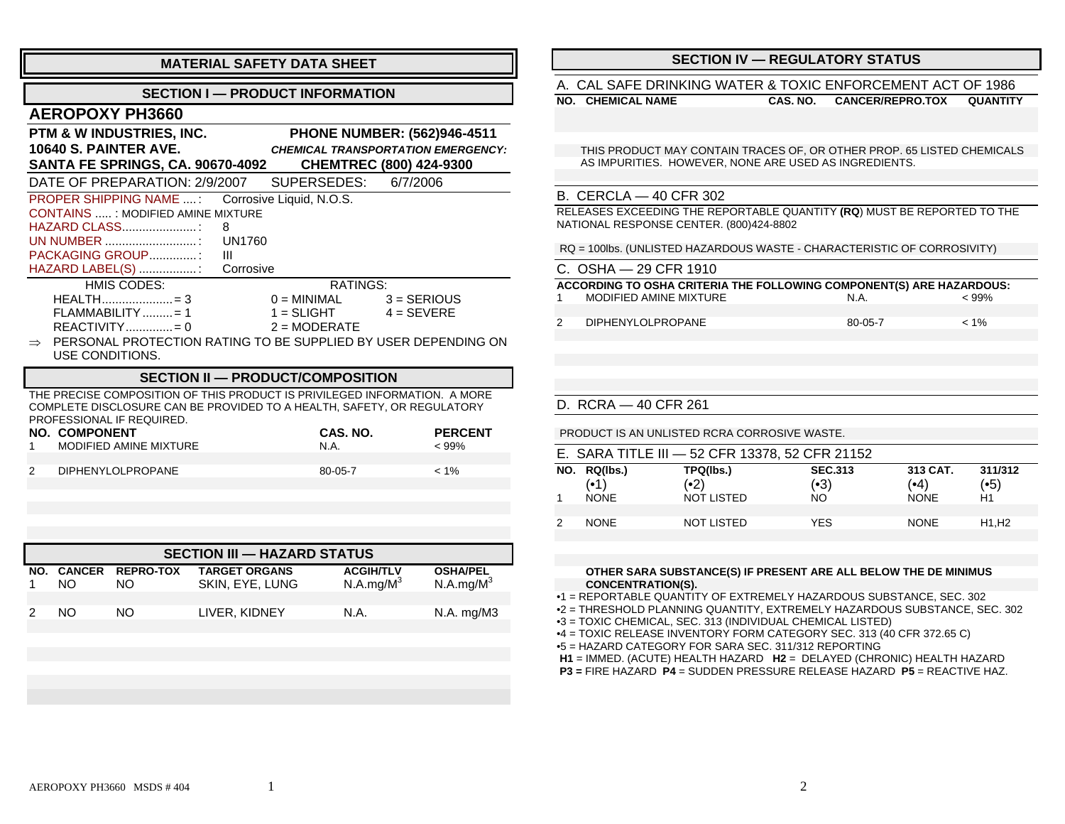| <b>MATERIAL SAFETY DATA SHEET</b>                                            |                             |                                           |  |
|------------------------------------------------------------------------------|-----------------------------|-------------------------------------------|--|
| <b>SECTION I - PRODUCT INFORMATION</b>                                       |                             |                                           |  |
| <b>AEROPOXY PH3660</b>                                                       |                             |                                           |  |
| PTM & W INDUSTRIES, INC.                                                     |                             | <b>PHONE NUMBER: (562)946-4511</b>        |  |
| <b>10640 S. PAINTER AVE.</b>                                                 |                             | <b>CHEMICAL TRANSPORTATION EMERGENCY:</b> |  |
| <b>SANTA FE SPRINGS, CA. 90670-4092</b>                                      |                             | <b>CHEMTREC (800) 424-9300</b>            |  |
| DATE OF PREPARATION: 2/9/2007                                                | SUPERSEDES:                 | 6/7/2006                                  |  |
| PROPER SHIPPING NAME : Corrosive Liquid, N.O.S.                              |                             |                                           |  |
| <b>CONTAINS : MODIFIED AMINE MIXTURE</b>                                     |                             |                                           |  |
| HAZARD CLASS<br>8                                                            |                             |                                           |  |
| UN NUMBER<br><b>UN1760</b>                                                   |                             |                                           |  |
| PACKAGING GROUP:<br>Ш                                                        |                             |                                           |  |
| HAZARD LABEL(S) :<br>Corrosive                                               |                             |                                           |  |
| <b>RATINGS:</b><br>HMIS CODES:                                               |                             |                                           |  |
| $HEALTH$ = 3                                                                 | $0 = MINIMAL$ $3 = SERIOUS$ |                                           |  |
| $FLAMMABILITY$ = 1                                                           | $1 = SLIGHT$ $4 = SEVERE$   |                                           |  |
| $REACTIVITY$ = 0                                                             | $2 = \text{MODERATE}$       |                                           |  |
| $\Rightarrow$ PERSONAL PROTECTION RATING TO BE SUPPLIED BY USER DEPENDING ON |                             |                                           |  |
| USE CONDITIONS.                                                              |                             |                                           |  |
| SECTION II - PRODUCT/COMPOSITION                                             |                             |                                           |  |

THE PRECISE COMPOSITION OF THIS PRODUCT IS PRIVILEGED INFORMATION. A MORE COMPLETE DISCLOSURE CAN BE PROVIDED TO A HEALTH, SAFETY, OR REGULATORY PROFESSIONAL IF REQUIRED.

| <b>NO. COMPONENT</b>     | CAS. NO. | <b>PERCENT</b> |
|--------------------------|----------|----------------|
| MODIFIED AMINE MIXTURE   | N.A      | $< 99\%$       |
|                          |          |                |
| <b>DIPHENYLOLPROPANE</b> | 80-05-7  | $< 1\%$        |
|                          |          |                |

| <b>SECTION III — HAZARD STATUS</b> |     |                         |                                         |                                           |                                          |
|------------------------------------|-----|-------------------------|-----------------------------------------|-------------------------------------------|------------------------------------------|
| NO.                                | NO. | CANCER REPRO-TOX<br>NO. | <b>TARGET ORGANS</b><br>SKIN, EYE, LUNG | <b>ACGIH/TLV</b><br>N.A.mg/M <sup>3</sup> | <b>OSHA/PEL</b><br>N.A.mg/M <sup>3</sup> |
|                                    | NO. | NO.                     | LIVER, KIDNEY                           | N.A.                                      | N.A. mg/M3                               |

# **SECTION IV — REGULATORY STATUS**

# A. CAL SAFE DRINKING WATER & TOXIC ENFORCEMENT ACT OF 1986

**NO. CHEMICAL NAME**

**CAS. NO. CANCER/REPRO.TOX QUANTITY**

 THIS PRODUCT MAY CONTAIN TRACES OF, OR OTHER PROP. 65 LISTED CHEMICALS AS IMPURITIES. HOWEVER, NONE ARE USED AS INGREDIENTS.

#### B. CERCLA — 40 CFR 302

RELEASES EXCEEDING THE REPORTABLE QUANTITY **(RQ**) MUST BE REPORTED TO THE NATIONAL RESPONSE CENTER. (800)424-8802

RQ = 100lbs. (UNLISTED HAZARDOUS WASTE - CHARACTERISTIC OF CORROSIVITY)

| $C.$ OSHA $-$ 29 CFR 1910                                            |                          |         |          |
|----------------------------------------------------------------------|--------------------------|---------|----------|
| ACCORDING TO OSHA CRITERIA THE FOLLOWING COMPONENT(S) ARE HAZARDOUS: |                          |         |          |
| $\mathbf{1}$                                                         | MODIFIED AMINE MIXTURE   | N.A.    | $< 99\%$ |
|                                                                      |                          |         |          |
| $\mathcal{P}$                                                        | <b>DIPHENYLOLPROPANE</b> | 80-05-7 | $< 1\%$  |
|                                                                      |                          |         |          |

### D. RCRA — 40 CFR 261

PRODUCT IS AN UNLISTED RCRA CORROSIVE WASTE.

### E. SARA TITLE III — 52 CFR 13378, 52 CFR 21152

| NO. | RQ(lbs.)    | TPQ(lbs.)         | <b>SEC.313</b> | 313 CAT.    | 311/312                        |
|-----|-------------|-------------------|----------------|-------------|--------------------------------|
|     | (∙1)        | (∙2)              | (∙3)           | (•4)        | (∙5)                           |
| 1   | <b>NONE</b> | <b>NOT LISTED</b> | NO             | <b>NONE</b> | Η1                             |
|     |             |                   |                |             |                                |
| 2   | <b>NONE</b> | <b>NOT LISTED</b> | YES            | <b>NONE</b> | H <sub>1</sub> .H <sub>2</sub> |
|     |             |                   |                |             |                                |

#### **OTHER SARA SUBSTANCE(S) IF PRESENT ARE ALL BELOW THE DE MINIMUS CONCENTRATION(S).**

•1 = REPORTABLE QUANTITY OF EXTREMELY HAZARDOUS SUBSTANCE, SEC. 302

•2 = THRESHOLD PLANNING QUANTITY, EXTREMELY HAZARDOUS SUBSTANCE, SEC. 302

•3 = TOXIC CHEMICAL, SEC. 313 (INDIVIDUAL CHEMICAL LISTED)

•4 = TOXIC RELEASE INVENTORY FORM CATEGORY SEC. 313 (40 CFR 372.65 C)

•5 = HAZARD CATEGORY FOR SARA SEC. 311/312 REPORTING

**H1** = IMMED. (ACUTE) HEALTH HAZARD **H2** = DELAYED (CHRONIC) HEALTH HAZARD

 **P3 =** FIRE HAZARD **P4** = SUDDEN PRESSURE RELEASE HAZARD **P5** = REACTIVE HAZ.